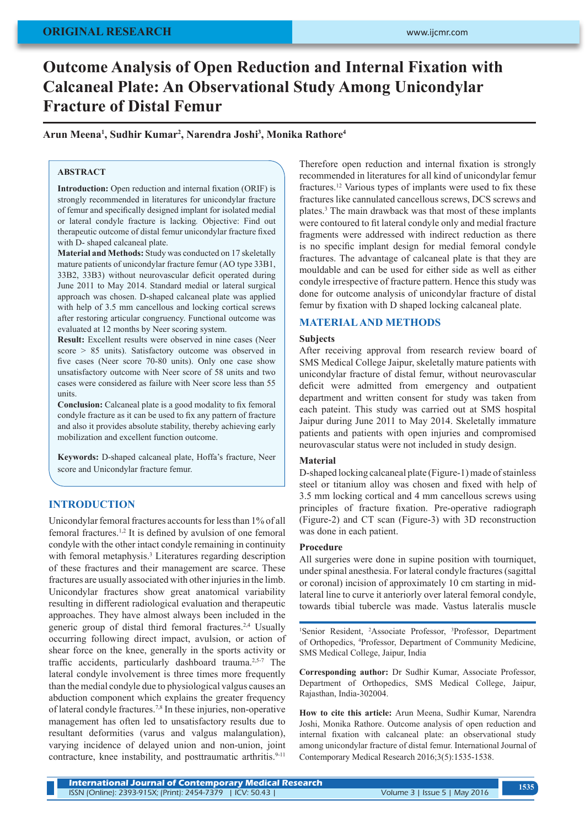# **ORIGINAL RESEARCH**

# **Outcome Analysis of Open Reduction and Internal Fixation with Calcaneal Plate: An Observational Study Among Unicondylar Fracture of Distal Femur**

**Arun Meena1 , Sudhir Kumar2 , Narendra Joshi3 , Monika Rathore4**

## **ABSTRACT**

**Introduction:** Open reduction and internal fixation (ORIF) is strongly recommended in literatures for unicondylar fracture of femur and specifically designed implant for isolated medial or lateral condyle fracture is lacking*.* Objective: Find out therapeutic outcome of distal femur unicondylar fracture fixed with D- shaped calcaneal plate.

**Material and Methods:** Study was conducted on 17 skeletally mature patients of unicondylar fracture femur (AO type 33B1, 33B2, 33B3) without neurovascular deficit operated during June 2011 to May 2014. Standard medial or lateral surgical approach was chosen. D-shaped calcaneal plate was applied with help of 3.5 mm cancellous and locking cortical screws after restoring articular congruency. Functional outcome was evaluated at 12 months by Neer scoring system.

**Result:** Excellent results were observed in nine cases (Neer score > 85 units). Satisfactory outcome was observed in five cases (Neer score 70-80 units). Only one case show unsatisfactory outcome with Neer score of 58 units and two cases were considered as failure with Neer score less than 55 units.

**Conclusion:** Calcaneal plate is a good modality to fix femoral condyle fracture as it can be used to fix any pattern of fracture and also it provides absolute stability, thereby achieving early mobilization and excellent function outcome.

**Keywords:** D-shaped calcaneal plate, Hoffa's fracture, Neer score and Unicondylar fracture femur.

# **INTRODUCTION**

Unicondylar femoral fractures accounts for less than 1% of all femoral fractures.1,2 It is defined by avulsion of one femoral condyle with the other intact condyle remaining in continuity with femoral metaphysis.<sup>3</sup> Literatures regarding description of these fractures and their management are scarce. These fractures are usually associated with other injuries in the limb. Unicondylar fractures show great anatomical variability resulting in different radiological evaluation and therapeutic approaches. They have almost always been included in the generic group of distal third femoral fractures.<sup>2,4</sup> Usually occurring following direct impact, avulsion, or action of shear force on the knee, generally in the sports activity or traffic accidents, particularly dashboard trauma.2,5-7 The lateral condyle involvement is three times more frequently than the medial condyle due to physiological valgus causes an abduction component which explains the greater frequency of lateral condyle fractures.7,8 In these injuries, non-operative management has often led to unsatisfactory results due to resultant deformities (varus and valgus malangulation), varying incidence of delayed union and non-union, joint contracture, knee instability, and posttraumatic arthritis.<sup>9-11</sup>

Therefore open reduction and internal fixation is strongly recommended in literatures for all kind of unicondylar femur fractures.12 Various types of implants were used to fix these fractures like cannulated cancellous screws, DCS screws and plates.3 The main drawback was that most of these implants were contoured to fit lateral condyle only and medial fracture fragments were addressed with indirect reduction as there is no specific implant design for medial femoral condyle fractures. The advantage of calcaneal plate is that they are mouldable and can be used for either side as well as either condyle irrespective of fracture pattern. Hence this study was done for outcome analysis of unicondylar fracture of distal femur by fixation with D shaped locking calcaneal plate.

## **MATERIAL AND METHODS**

### **Subjects**

After receiving approval from research review board of SMS Medical College Jaipur, skeletally mature patients with unicondylar fracture of distal femur, without neurovascular deficit were admitted from emergency and outpatient department and written consent for study was taken from each pateint. This study was carried out at SMS hospital Jaipur during June 2011 to May 2014. Skeletally immature patients and patients with open injuries and compromised neurovascular status were not included in study design.

## **Material**

D-shaped locking calcaneal plate (Figure-1) made of stainless steel or titanium alloy was chosen and fixed with help of 3.5 mm locking cortical and 4 mm cancellous screws using principles of fracture fixation. Pre-operative radiograph (Figure-2) and CT scan (Figure-3) with 3D reconstruction was done in each patient.

#### **Procedure**

All surgeries were done in supine position with tourniquet, under spinal anesthesia. For lateral condyle fractures (sagittal or coronal) incision of approximately 10 cm starting in midlateral line to curve it anteriorly over lateral femoral condyle, towards tibial tubercle was made. Vastus lateralis muscle

<sup>1</sup>Senior Resident, <sup>2</sup>Associate Professor, <sup>3</sup>Professor, Department of Orthopedics, 4 Professor, Department of Community Medicine, SMS Medical College, Jaipur, India

**Corresponding author:** Dr Sudhir Kumar, Associate Professor, Department of Orthopedics, SMS Medical College, Jaipur, Rajasthan, India-302004.

**How to cite this article:** Arun Meena, Sudhir Kumar, Narendra Joshi, Monika Rathore. Outcome analysis of open reduction and internal fixation with calcaneal plate: an observational study among unicondylar fracture of distal femur. International Journal of Contemporary Medical Research 2016;3(5):1535-1538.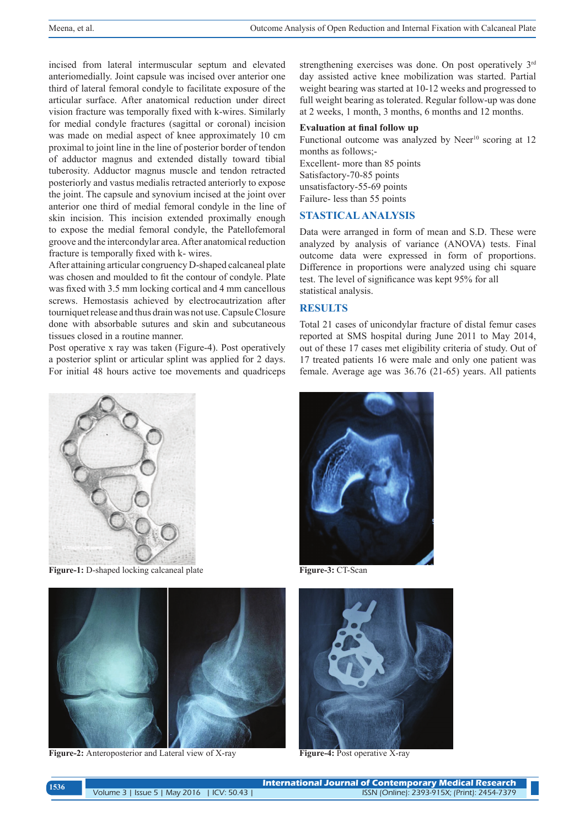incised from lateral intermuscular septum and elevated anteriomedially. Joint capsule was incised over anterior one third of lateral femoral condyle to facilitate exposure of the articular surface. After anatomical reduction under direct vision fracture was temporally fixed with k-wires. Similarly for medial condyle fractures (sagittal or coronal) incision was made on medial aspect of knee approximately 10 cm proximal to joint line in the line of posterior border of tendon of adductor magnus and extended distally toward tibial tuberosity. Adductor magnus muscle and tendon retracted posteriorly and vastus medialis retracted anteriorly to expose the joint. The capsule and synovium incised at the joint over anterior one third of medial femoral condyle in the line of skin incision. This incision extended proximally enough to expose the medial femoral condyle, the Patellofemoral groove and the intercondylar area. After anatomical reduction fracture is temporally fixed with k- wires.

After attaining articular congruency D-shaped calcaneal plate was chosen and moulded to fit the contour of condyle. Plate was fixed with 3.5 mm locking cortical and 4 mm cancellous screws. Hemostasis achieved by electrocautrization after tourniquet release and thus drain was not use. Capsule Closure done with absorbable sutures and skin and subcutaneous tissues closed in a routine manner.

Post operative x ray was taken (Figure-4). Post operatively a posterior splint or articular splint was applied for 2 days. For initial 48 hours active toe movements and quadriceps



**Figure-1:** D-shaped locking calcaneal plate



**Figure-2:** Anteroposterior and Lateral view of X-ray

strengthening exercises was done. On post operatively 3<sup>rd</sup> day assisted active knee mobilization was started. Partial weight bearing was started at 10-12 weeks and progressed to full weight bearing as tolerated. Regular follow-up was done at 2 weeks, 1 month, 3 months, 6 months and 12 months.

## **Evaluation at final follow up**

Functional outcome was analyzed by Neer<sup>10</sup> scoring at 12 months as follows;- Excellent- more than 85 points Satisfactory-70-85 points unsatisfactory-55-69 points Failure- less than 55 points

# **STASTICAL ANALYSIS**

Data were arranged in form of mean and S.D. These were analyzed by analysis of variance (ANOVA) tests. Final outcome data were expressed in form of proportions. Difference in proportions were analyzed using chi square test. The level of significance was kept 95% for all statistical analysis.

## **RESULTS**

Total 21 cases of unicondylar fracture of distal femur cases reported at SMS hospital during June 2011 to May 2014, out of these 17 cases met eligibility criteria of study. Out of 17 treated patients 16 were male and only one patient was female. Average age was 36.76 (21-65) years. All patients



**Figure-3:** CT-Scan



**Figure-4:** Post operative X-ray

| 1536 | <b>International Journal of Contemporary Medical Research</b> |                                              |  |  |  |
|------|---------------------------------------------------------------|----------------------------------------------|--|--|--|
|      | Volume 3   Issue 5   May 2016   ICV: 50.43                    | ISSN (Online): 2393-915X; (Print): 2454-7379 |  |  |  |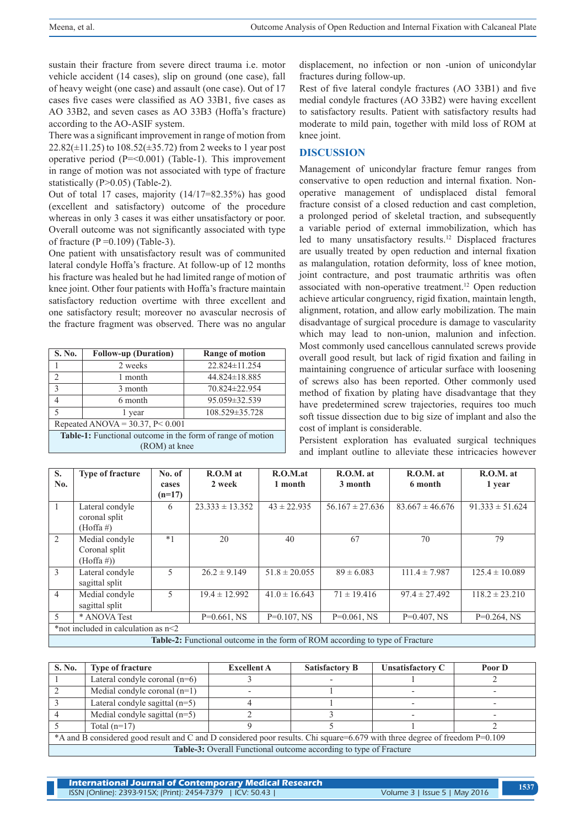sustain their fracture from severe direct trauma i.e. motor vehicle accident (14 cases), slip on ground (one case), fall of heavy weight (one case) and assault (one case). Out of 17 cases five cases were classified as AO 33B1, five cases as AO 33B2, and seven cases as AO 33B3 (Hoffa's fracture) according to the AO-ASIF system.

There was a significant improvement in range of motion from  $22.82(\pm 11.25)$  to  $108.52(\pm 35.72)$  from 2 weeks to 1 year post operative period  $(P=<0.001)$  (Table-1). This improvement in range of motion was not associated with type of fracture statistically (P>0.05) (Table-2).

Out of total 17 cases, majority (14/17=82.35%) has good (excellent and satisfactory) outcome of the procedure whereas in only 3 cases it was either unsatisfactory or poor. Overall outcome was not significantly associated with type of fracture ( $P = 0.109$ ) (Table-3).

One patient with unsatisfactory result was of communited lateral condyle Hoffa's fracture. At follow-up of 12 months his fracture was healed but he had limited range of motion of knee joint. Other four patients with Hoffa's fracture maintain satisfactory reduction overtime with three excellent and one satisfactory result; moreover no avascular necrosis of the fracture fragment was observed. There was no angular

| S. No.                                                            | <b>Follow-up (Duration)</b> | <b>Range of motion</b> |  |  |  |
|-------------------------------------------------------------------|-----------------------------|------------------------|--|--|--|
|                                                                   | 2 weeks                     | 22.824±11.254          |  |  |  |
| $\overline{c}$                                                    | 1 month                     | 44.824±18.885          |  |  |  |
| $\mathcal{E}$                                                     | 3 month                     | 70.824±22.954          |  |  |  |
|                                                                   | 6 month                     | 95.059±32.539          |  |  |  |
|                                                                   | 1 year                      | 108.529±35.728         |  |  |  |
| Repeated ANOVA = $30.37$ , P< 0.001                               |                             |                        |  |  |  |
| <b>Table-1:</b> Functional outcome in the form of range of motion |                             |                        |  |  |  |
| $(DOM) \rightarrow 1$                                             |                             |                        |  |  |  |

(ROM) at knee

displacement, no infection or non -union of unicondylar fractures during follow-up.

Rest of five lateral condyle fractures (AO 33B1) and five medial condyle fractures (AO 33B2) were having excellent to satisfactory results. Patient with satisfactory results had moderate to mild pain, together with mild loss of ROM at knee joint.

# **DISCUSSION**

Management of unicondylar fracture femur ranges from conservative to open reduction and internal fixation. Nonoperative management of undisplaced distal femoral fracture consist of a closed reduction and cast completion, a prolonged period of skeletal traction, and subsequently a variable period of external immobilization, which has led to many unsatisfactory results.12 Displaced fractures are usually treated by open reduction and internal fixation as malangulation, rotation deformity, loss of knee motion, joint contracture, and post traumatic arthritis was often associated with non-operative treatment.<sup>12</sup> Open reduction achieve articular congruency, rigid fixation, maintain length, alignment, rotation, and allow early mobilization. The main disadvantage of surgical procedure is damage to vascularity which may lead to non-union, malunion and infection. Most commonly used cancellous cannulated screws provide overall good result*,* but lack of rigid fixation and failing in maintaining congruence of articular surface with loosening of screws also has been reported. Other commonly used method of fixation by plating have disadvantage that they have predetermined screw trajectories, requires too much soft tissue dissection due to big size of implant and also the cost of implant is considerable.

Persistent exploration has evaluated surgical techniques and implant outline to alleviate these intricacies however

| S.<br>No.                           | <b>Type of fracture</b>                                                             | No. of<br>cases | $R.O.M$ at<br>2 week | R.O.M.at<br>1 month | $R.O.M.$ at<br>3 month | $R.O.M.$ at<br>6 month | $R.O.M.$ at<br>1 year |
|-------------------------------------|-------------------------------------------------------------------------------------|-----------------|----------------------|---------------------|------------------------|------------------------|-----------------------|
|                                     |                                                                                     | $(n=17)$        |                      |                     |                        |                        |                       |
|                                     | Lateral condyle<br>coronal split<br>$(Hoffa \#)$                                    | 6               | $23.333 \pm 13.352$  | $43 \pm 22.935$     | $56.167 \pm 27.636$    | $83.667 \pm 46.676$    | $91.333 \pm 51.624$   |
| 2                                   | Medial condyle<br>Coronal split<br>$(Hoffa \#))$                                    | $*1$            | 20                   | 40                  | 67                     | 70                     | 79                    |
| 3                                   | Lateral condyle<br>sagittal split                                                   | 5               | $26.2 \pm 9.149$     | $51.8 \pm 20.055$   | $89 \pm 6.083$         | $111.4 \pm 7.987$      | $125.4 \pm 10.089$    |
| $\overline{4}$                      | Medial condyle<br>sagittal split                                                    | 5               | $19.4 \pm 12.992$    | $41.0 \pm 16.643$   | $71 \pm 19.416$        | $97.4 \pm 27.492$      | $118.2 \pm 23.210$    |
| 5                                   | * ANOVA Test                                                                        |                 | $P=0.661$ , NS       | $P=0.107$ , NS      | $P=0.061$ , NS         | $P=0.407$ , NS         | $P=0.264$ , NS        |
| *not included in calculation as n<2 |                                                                                     |                 |                      |                     |                        |                        |                       |
|                                     | <b>Table-2:</b> Functional outcome in the form of ROM according to type of Fracture |                 |                      |                     |                        |                        |                       |

| S. No.                                                                                                                     | <b>Type of fracture</b>          | <b>Excellent A</b> | <b>Satisfactory B</b> | Unsatisfactory C | Poor D |  |
|----------------------------------------------------------------------------------------------------------------------------|----------------------------------|--------------------|-----------------------|------------------|--------|--|
|                                                                                                                            | Lateral condyle coronal $(n=6)$  |                    |                       |                  |        |  |
|                                                                                                                            | Medial condyle coronal $(n=1)$   |                    |                       |                  |        |  |
|                                                                                                                            | Lateral condyle sagittal $(n=5)$ |                    |                       |                  |        |  |
|                                                                                                                            | Medial condyle sagittal $(n=5)$  |                    |                       |                  |        |  |
|                                                                                                                            | Total $(n=17)$                   |                    |                       |                  |        |  |
| *A and B considered good result and C and D considered poor results. Chi square=6.679 with three degree of freedom P=0.109 |                                  |                    |                       |                  |        |  |
| Table-3: Overall Functional outcome according to type of Fracture                                                          |                                  |                    |                       |                  |        |  |